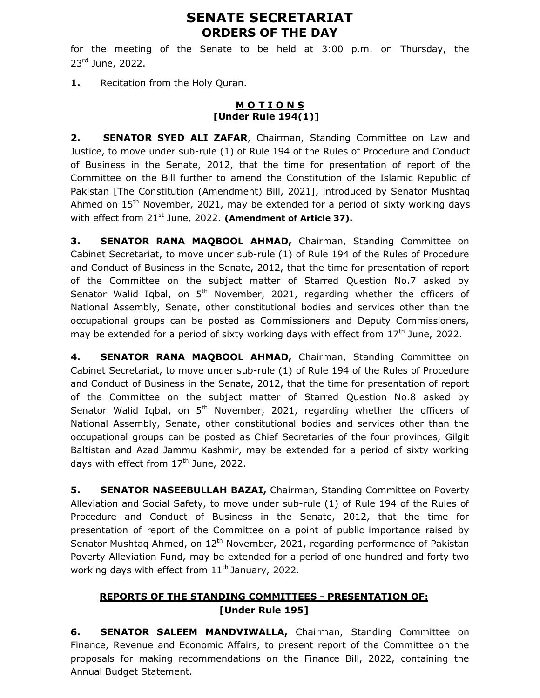# SENATE SECRETARIAT ORDERS OF THE DAY

for the meeting of the Senate to be held at 3:00 p.m. on Thursday, the 23<sup>rd</sup> June, 2022.

1. Recitation from the Holy Quran.

#### **MOTIONS** [Under Rule 194(1)]

2. SENATOR SYED ALI ZAFAR, Chairman, Standing Committee on Law and Justice, to move under sub-rule (1) of Rule 194 of the Rules of Procedure and Conduct of Business in the Senate, 2012, that the time for presentation of report of the Committee on the Bill further to amend the Constitution of the Islamic Republic of Pakistan [The Constitution (Amendment) Bill, 2021], introduced by Senator Mushtaq Ahmed on 15<sup>th</sup> November, 2021, may be extended for a period of sixty working days with effect from 21<sup>st</sup> June, 2022. (Amendment of Article 37).

3. SENATOR RANA MAQBOOL AHMAD, Chairman, Standing Committee on Cabinet Secretariat, to move under sub-rule (1) of Rule 194 of the Rules of Procedure and Conduct of Business in the Senate, 2012, that the time for presentation of report of the Committee on the subject matter of Starred Question No.7 asked by Senator Walid Iqbal, on  $5<sup>th</sup>$  November, 2021, regarding whether the officers of National Assembly, Senate, other constitutional bodies and services other than the occupational groups can be posted as Commissioners and Deputy Commissioners, may be extended for a period of sixty working days with effect from  $17<sup>th</sup>$  June, 2022.

4. SENATOR RANA MAQBOOL AHMAD, Chairman, Standing Committee on Cabinet Secretariat, to move under sub-rule (1) of Rule 194 of the Rules of Procedure and Conduct of Business in the Senate, 2012, that the time for presentation of report of the Committee on the subject matter of Starred Question No.8 asked by Senator Walid Iqbal, on  $5<sup>th</sup>$  November, 2021, regarding whether the officers of National Assembly, Senate, other constitutional bodies and services other than the occupational groups can be posted as Chief Secretaries of the four provinces, Gilgit Baltistan and Azad Jammu Kashmir, may be extended for a period of sixty working days with effect from  $17<sup>th</sup>$  June, 2022.

5. SENATOR NASEEBULLAH BAZAI, Chairman, Standing Committee on Poverty Alleviation and Social Safety, to move under sub-rule (1) of Rule 194 of the Rules of Procedure and Conduct of Business in the Senate, 2012, that the time for presentation of report of the Committee on a point of public importance raised by Senator Mushtag Ahmed, on  $12<sup>th</sup>$  November, 2021, regarding performance of Pakistan Poverty Alleviation Fund, may be extended for a period of one hundred and forty two working days with effect from  $11<sup>th</sup>$  January, 2022.

## REPORTS OF THE STANDING COMMITTEES - PRESENTATION OF: [Under Rule 195]

**6. SENATOR SALEEM MANDVIWALLA, Chairman, Standing Committee on** Finance, Revenue and Economic Affairs, to present report of the Committee on the proposals for making recommendations on the Finance Bill, 2022, containing the Annual Budget Statement.